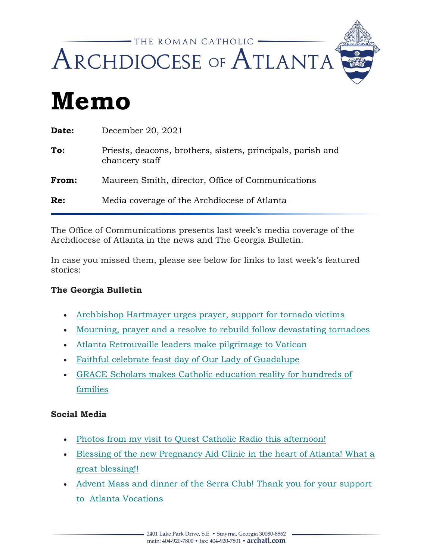

# **Memo**

| Date: | December 20, 2021                                                             |
|-------|-------------------------------------------------------------------------------|
| To:   | Priests, deacons, brothers, sisters, principals, parish and<br>chancery staff |
| From: | Maureen Smith, director, Office of Communications                             |
| Re:   | Media coverage of the Archdiocese of Atlanta                                  |
|       |                                                                               |

The Office of Communications presents last week's media coverage of the Archdiocese of Atlanta in the news and The Georgia Bulletin*.*

In case you missed them, please see below for links to last week's featured stories:

### **The Georgia Bulletin**

- [Archbishop Hartmayer urges prayer, support for tornado victims](https://archatl.us15.list-manage.com/track/click?u=e910c4ce1ad5971fa2da271da&id=b9c819e7b9&e=97be40fd27)
- [Mourning, prayer and a resolve to rebuild follow devastating tornadoes](https://archatl.us15.list-manage.com/track/click?u=e910c4ce1ad5971fa2da271da&id=a6c7165726&e=97be40fd27)
- [Atlanta Retrouvaille leaders make pilgrimage to Vatican](https://archatl.us15.list-manage.com/track/click?u=e910c4ce1ad5971fa2da271da&id=05d20cea6e&e=97be40fd27)
- [Faithful celebrate feast day of Our Lady of Guadalupe](https://archatl.us15.list-manage.com/track/click?u=e910c4ce1ad5971fa2da271da&id=da9cc54705&e=97be40fd27)
- [GRACE Scholars makes Catholic education reality for hundreds of](https://archatl.us15.list-manage.com/track/click?u=e910c4ce1ad5971fa2da271da&id=1b8980b6c0&e=97be40fd27)  [families](https://archatl.us15.list-manage.com/track/click?u=e910c4ce1ad5971fa2da271da&id=1b8980b6c0&e=97be40fd27)

### **Social Media**

- [Photos from my visit to Quest Catholic Radio this afternoon!](https://archatl.us15.list-manage.com/track/click?u=e910c4ce1ad5971fa2da271da&id=4d01e3b4fa&e=97be40fd27)
- [Blessing of the new Pregnancy Aid Clinic in the heart of Atlanta! What a](https://archatl.us15.list-manage.com/track/click?u=e910c4ce1ad5971fa2da271da&id=3f2b027505&e=97be40fd27)  [great blessing!!](https://archatl.us15.list-manage.com/track/click?u=e910c4ce1ad5971fa2da271da&id=3f2b027505&e=97be40fd27)
- [Advent Mass and dinner of the Serra Club! Thank you for your support](https://archatl.us15.list-manage.com/track/click?u=e910c4ce1ad5971fa2da271da&id=879a3c2643&e=97be40fd27)  to [Atlanta Vocations](https://archatl.us15.list-manage.com/track/click?u=e910c4ce1ad5971fa2da271da&id=879a3c2643&e=97be40fd27)